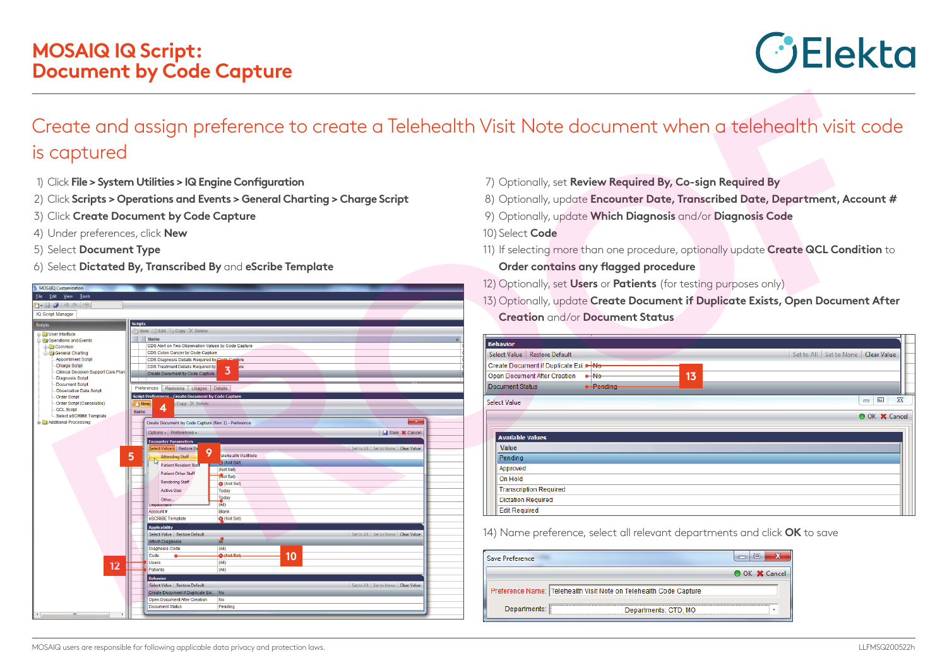

## Create and assign preference to create a Telehealth Visit Note document when a telehealth visit code is captured

- 1) Click **File > System Utilities > IQ Engine Configuration**
- 2) Click **Scripts > Operations and Events > General Charting > Charge Script**
- 3) Click **Create Document by Code Capture**
- 4) Under preferences, click **New**
- 5) Select **Document Type**
- 6) Select **Dictated By, Transcribed By** and **eScribe Template**

| MUSAIQ Customization<br>File Edit View Tools      |                                                               |                                        |
|---------------------------------------------------|---------------------------------------------------------------|----------------------------------------|
| $1 - 7 - 9 - 9 - 8$                               |                                                               |                                        |
| <b>IQ Script Manager</b>                          |                                                               |                                        |
|                                                   |                                                               |                                        |
| Scripts                                           | <b>Scripts</b>                                                |                                        |
| User Interface                                    | New <b>Bedit</b> Copy X Delete                                |                                        |
| <b>Operations and Events</b>                      | Name                                                          |                                        |
| G Common                                          | CDS Alert on Two Observation Values by Code Capture           |                                        |
| General Charting                                  | CDS Colon Cancer by Code Capture                              |                                        |
| <b>Appointment Script</b><br><b>Charge Script</b> | CDS Diagnosis Details Required by Code Canture                |                                        |
| Clinical Decision Support Care Plan               | CDS Treatment Details Required by<br>ire<br>3                 |                                        |
| <b>Diagnosis Script</b>                           | Create Document by Code Capture                               |                                        |
| Document Script                                   |                                                               |                                        |
| Observation Data Script                           | Preferences<br>Revisions   Usages   Details                   |                                        |
| Order Script                                      | <b>Script Preferences - Create Document by Code Capture</b>   |                                        |
| Order Script (Cancelable)<br><b>QCL Script</b>    | $Copy \times Delete$<br>New<br>4                              |                                        |
| Select eSCRIBE Template                           | Name                                                          |                                        |
| Additional Processing                             | Create Document by Code Capture (Rev: 1) - Preference:        | $\mathbf{x}$                           |
|                                                   |                                                               |                                        |
|                                                   | Options - Preferences -                                       | Save <b>X</b> Cancel                   |
|                                                   | <b>Encounter Parameters</b>                                   |                                        |
|                                                   | Select Value - Restore De<br>9                                | Set to All   Set to None   Clear Value |
|                                                   | 5<br>elehealth VisitNote<br><b>Attending Staff</b>            |                                        |
|                                                   | 3 (Not Set)<br><b>Patient Resident Staff</b>                  |                                        |
|                                                   | (Not Set)<br><b>Patient Other Staff</b>                       |                                        |
|                                                   | (Not Set)<br><b>Rendering Staff</b>                           |                                        |
|                                                   | <b>3</b> (Not Set)<br><b>Active User</b><br>Today             |                                        |
|                                                   | Today                                                         |                                        |
|                                                   | Other<br>(A  )                                                |                                        |
|                                                   | <b>Department</b><br>Blank<br>Account#                        |                                        |
|                                                   | <b>Q</b> (Not Set)<br>eSCRIBE Template                        |                                        |
|                                                   |                                                               |                                        |
|                                                   | <b>Applicability</b>                                          |                                        |
|                                                   | Select Value Restore Default<br>AIT<br><b>Which Diagnosis</b> | Set to All Set to None Clear Value     |
|                                                   | <b>Diagnosis Code</b><br>(A  )                                |                                        |
|                                                   | <b>O</b> (Not Set)<br>Code                                    |                                        |
|                                                   | Users<br>(AII)                                                | 10                                     |
| 12                                                | Patients<br>(AII)                                             |                                        |
|                                                   |                                                               |                                        |
|                                                   | <b>Behavior</b>                                               |                                        |
|                                                   | Select Value Restore Default                                  | Set to All Set to None Clear Value     |
|                                                   | Create Document if Duplicate Exi No                           |                                        |
|                                                   | Open Document After Creation<br><b>No</b><br>Document Status  |                                        |
|                                                   | Pending                                                       |                                        |

- 7) Optionally, set **Review Required By, Co-sign Required By**
- 8) Optionally, update **Encounter Date, Transcribed Date, Department, Account #**
- 9) Optionally, update **Which Diagnosis** and/or **Diagnosis Code**
- 10) Select **Code**
- 11) If selecting more than one procedure, optionally update **Create QCL Condition** to **Order contains any flagged procedure**
- 12) Optionally, set **Users** or **Patients** (for testing purposes only)
- 13) Optionally, update **Create Document if Duplicate Exists, Open Document After Creation** and/or **Document Status**

| <b>Behavior</b>                                |                                            |
|------------------------------------------------|--------------------------------------------|
| Select Value   Restore Default                 | Set to All   Set to None   Clear Value     |
| Create Document if Duplicate Exi. . Ne-        |                                            |
| 13<br>Open Document After Creation<br>$e$ -No- |                                            |
| · Pending<br><b>Document Status</b>            |                                            |
| <b>Select Value</b>                            | $\Sigma$<br>$\Box$<br>$\qquad \qquad \Box$ |
|                                                | O OK X Cancel                              |
|                                                |                                            |
| <b>Available Values</b>                        |                                            |
| Value                                          |                                            |
| <b>Pending</b>                                 |                                            |
| Approved                                       |                                            |
| On Hold                                        |                                            |
| <b>Transcription Required</b>                  |                                            |
| <b>Dictation Required</b>                      |                                            |
| <b>Edit Required</b>                           |                                            |

14) Name preference, select all relevant departments and click **OK** to save

| Save Preference |                                                                   | Ξ             |
|-----------------|-------------------------------------------------------------------|---------------|
|                 |                                                                   | O OK X Cancel |
|                 | Preference Name: Telehealth Visit Note on Telehealth Code Capture |               |
| Departments:    | <br>Departments: CTD; MO                                          |               |